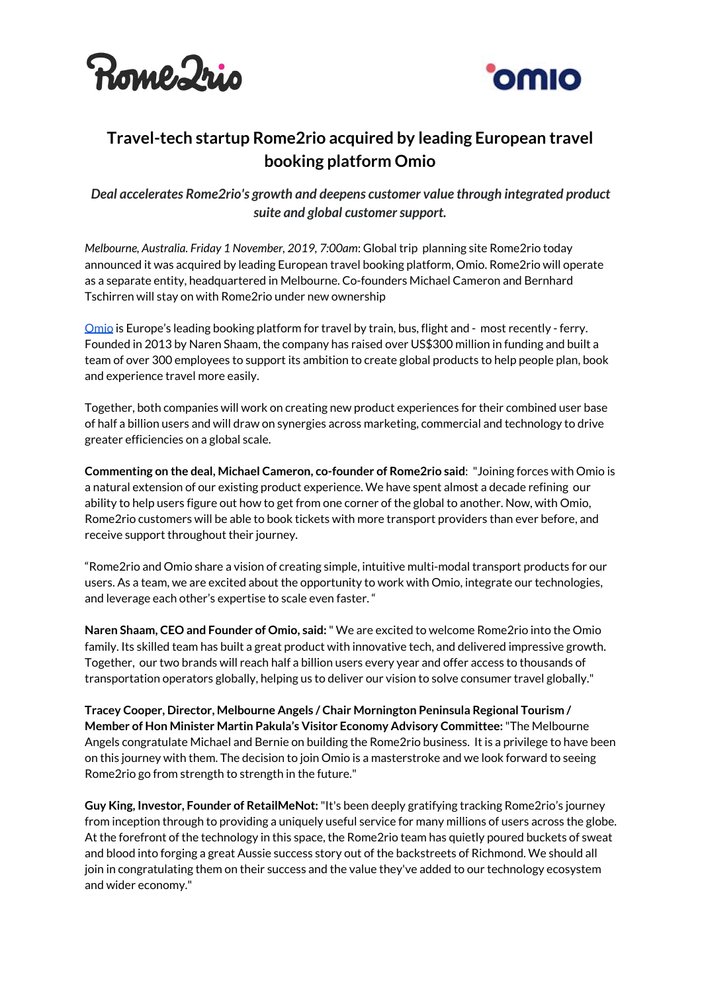



## **Travel-tech startup Rome2rio acquired by leading European travel booking platform Omio**

*Deal accelerates Rome2rio's growth and deepens customer value through integrated product suite and global customersupport.*

*Melbourne, Australia. Friday 1 November, 2019, 7:00am*: Global trip planning site Rome2rio today announced it was acquired by leading European travel booking platform, Omio. Rome2rio will operate as a separate entity, headquartered in Melbourne. Co-founders Michael Cameron and Bernhard Tschirren will stay on with Rome2rio under new ownership

[Omio](https://www.omio.com/) is Europe's leading booking platform for travel by train, bus, flight and - most recently - ferry. Founded in 2013 by Naren Shaam, the company has raised over US\$300 million in funding and built a team of over 300 employees to support its ambition to create global products to help people plan, book and experience travel more easily.

Together, both companies will work on creating new product experiences for their combined user base of half a billion users and will draw on synergies across marketing, commercial and technology to drive greater efficiencies on a global scale.

**Commenting on the deal, Michael Cameron, co-founder of Rome2rio said**: "Joining forces with Omio is a natural extension of our existing product experience. We have spent almost a decade refining our ability to help users figure out how to get from one corner of the global to another. Now, with Omio, Rome2rio customers will be able to book tickets with more transport providers than ever before, and receive support throughout their journey.

"Rome2rio and Omio share a vision of creating simple, intuitive multi-modal transport products for our users. As a team, we are excited about the opportunity to work with Omio, integrate our technologies, and leverage each other's expertise to scale even faster. "

**Naren Shaam, CEO and Founder of Omio, said:**" We are excited to welcome Rome2rio into the Omio family. Its skilled team has built a great product with innovative tech, and delivered impressive growth. Together, our two brands will reach half a billion users every year and offer access to thousands of transportation operators globally, helping us to deliver our vision to solve consumer travel globally."

**Tracey Cooper, Director, Melbourne Angels / Chair Mornington Peninsula Regional Tourism / Member of Hon Minister Martin Pakula's Visitor Economy Advisory Committee:**"The Melbourne Angels congratulate Michael and Bernie on building the Rome2rio business. It is a privilege to have been on this journey with them. The decision to join Omio is a masterstroke and we look forward to seeing Rome2rio go from strength to strength in the future."

**Guy King, Investor, Founder of RetailMeNot:**"It's been deeply gratifying tracking Rome2rio's journey from inception through to providing a uniquely useful service for many millions of users across the globe. At the forefront of the technology in this space, the Rome2rio team has quietly poured buckets of sweat and blood into forging a great Aussie success story out of the backstreets of Richmond. We should all join in congratulating them on their success and the value they've added to our technology ecosystem and wider economy."